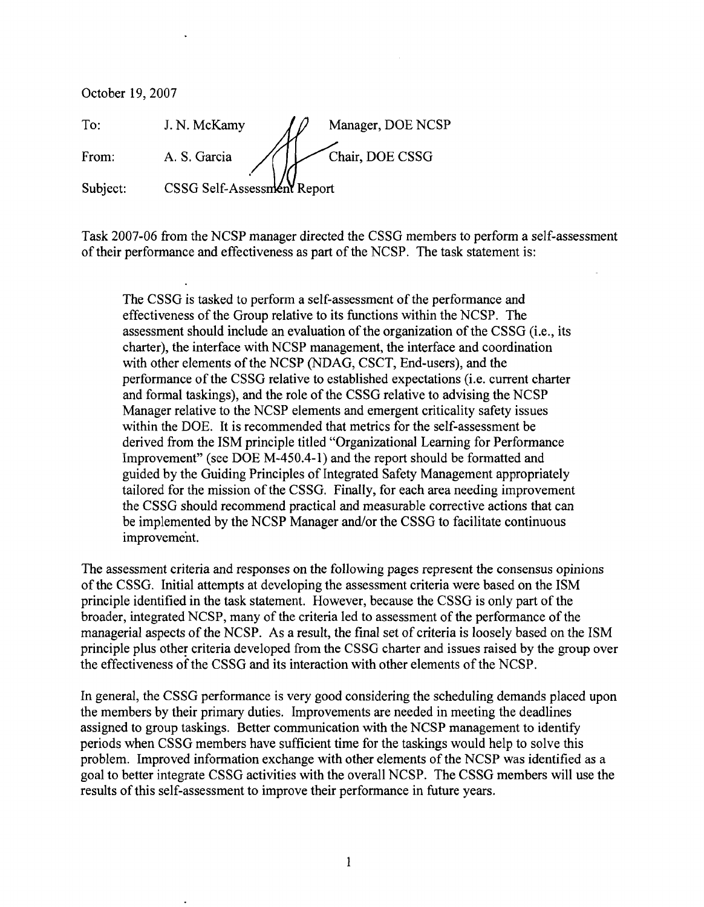October 19,2007 To: J. N. McKamy  $\int \mathcal{D}$  Manager, DOE NCSP From: A. S. Garcia // | Chair, DOE CSSG Subject: CSSG Self-Assessment Report

Task 2007-06 from the NCSP manager directed the CSSG members to perform a self-assessment of their performance and effectiveness as part of the NCSP. The task statement is:

The CSSG is tasked to perform a self-assessment of the performance and effectiveness of the Group relative to its functions within the NCSP. The assessment should include an evaluation of the organization of the CSSG (i.e., its charter), the interface with NCSP management, the interface and coordination with other elements of the NCSP (NDAG, CSCT, End-users), and the performance of the CSSG relative to established expectations (i.e. current charter and formal taskings), and the role of the CSSG relative to advising the NCSP Manager relative to the NCSP elements and emergent criticality safety issues within the DOE. It is recommended that metrics for the self-assessment be derived from the ISM principle titled "Organizational Learning for Performance Improvement" (see DOE M-450.4-1) and the report should be formatted and guided by the Guiding Principles of Integrated Safety Management appropriately tailored for the mission of the CSSG. Finally, for each area needing improvement the CSSG should recommend practical and measurable corrective actions that can be implemented by the NCSP Manager and/or the CSSG to facilitate continuous improvement.

The assessment criteria and responses on the following pages represent the consensus opinions of the CSSG. Initial attempts at developing the assessment criteria were based on the ISM principle identified in the task statement. However, because the CSSG is only part of the broader, integrated NCSP, many of the criteria led to assessment of the performance of the managerial aspects of the NCSP. As a result, the final set of criteria is loosely based on the ISM principle plus other criteria developed from the CSSG charter and issues raised by the group over the effectiveness of the CSSG and its interaction with other elements of the NCSP.

In general, the CSSG performance is very good considering the scheduling demands placed upon the members by their primary duties. Improvements are needed in meeting the deadlines assigned to group taskings. Better communication with the NCSP management to identify periods when CSSG members have sufficient time for the taskings would help to solve this problem. Improved information exchange with other elements of the NCSP was identified as a goal to better integrate CSSG activities with the overall NCSP. The CSSG members will use the results of this self-assessment to improve their performance in future years.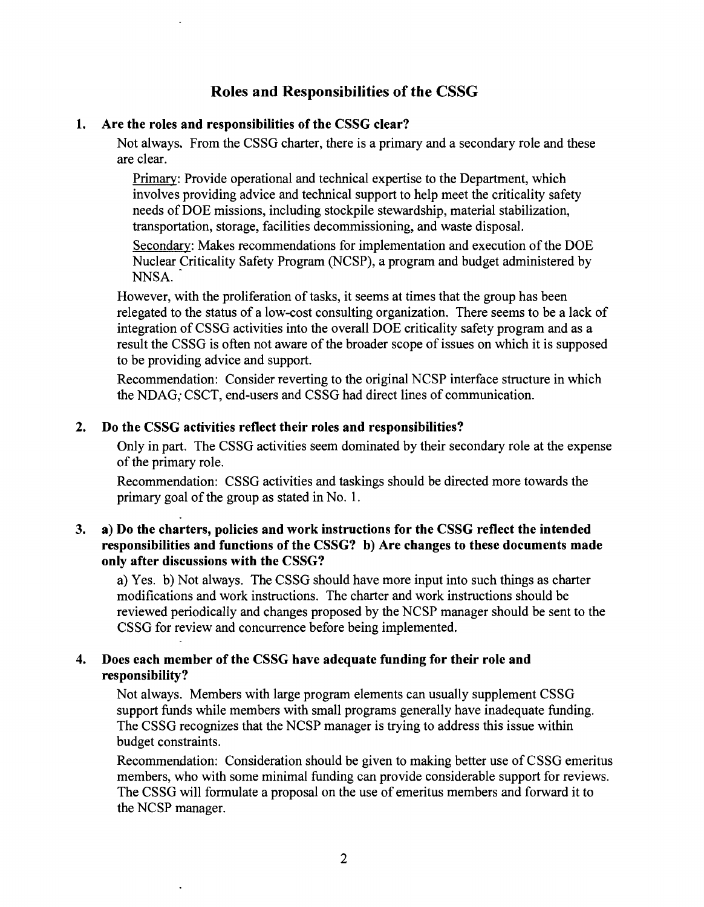# **Roles and Responsibilities of the CSSG**

# **1. Are the roles and responsibilities of the CSSG clear?**

Not always. From the CSSG charter, there is a primary and a secondary role and these are clear.

Primary: Provide operational and technical expertise to the Department, which involves providing advice and technical support to help meet the criticality safety needs of DOE missions, including stockpile stewardship, material stabilization, transportation, storage, facilities decommissioning, and waste disposal.

Secondary: Makes recommendations for implementation and execution of the DOE Nuclear Criticality Safety Program (NCSP), a program and budget administered by NNSA.

However, with the proliferation of tasks, it seems at times that the group has been relegated to the status of a low-cost consulting organization. There seems to be a lack of integration of CSSG activities into the overall DOE criticality safety program and as a result the CSSG is often not aware of the broader scope of issues on which it is supposed to be providing advice and support.

Recommendation: Consider reverting to the original NCSP interface structure in which the NDAG; CSCT, end-users and CSSG had direct lines of communication.

### **2. Do the CSSG activities reflect their roles and responsibilities?**

Only in part. The CSSG activities seem dominated by their secondary role at the expense of the primary role.

Recommendation: CSSG activities and taskings should be directed more towards the primary goal of the group as stated in No. 1.

#### $3.$ **a) Do the charters, policies and work instructions for the CSSG reflect the intended responsibilities and functions of the CSSG? b) Are changes to these documents made only after discussions with the CSSG?**

a) Yes. b) Not always. The CSSG should have more input into such things as charter modifications and work instructions. The charter and work instructions should be reviewed periodically and changes proposed by the NCSP manager should be sent to the CSSG for review and concurrence before being implemented.

### **4. Does each member of the CSSG have adequate funding for their role and responsibility?**

Not always. Members with large program elements can usually supplement CSSG support funds while members with small programs generally have inadequate funding. The CSSG recognizes that the NCSP manager is trying to address this issue within budget constraints.

Recommendation: Consideration should be given to making better use of CSSG emeritus members, who with some minimal funding can provide considerable support for reviews. The CSSG will formulate a proposal on the use of emeritus members and forward it to the NCSP manager.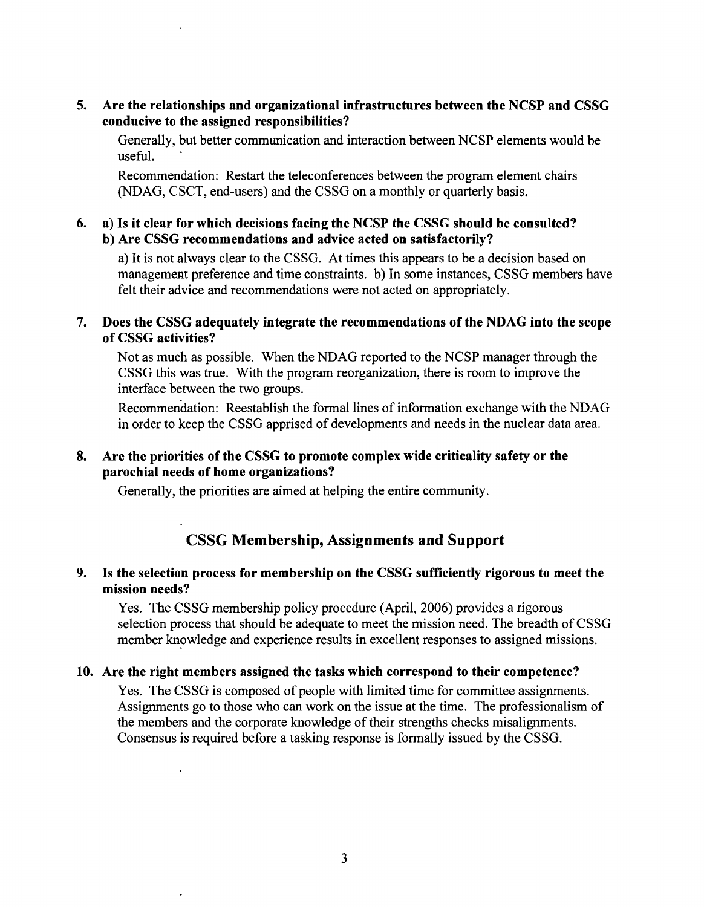**5.** Are the relationships and organizational infrastructures between the NCSP and CSSG conducive to the assigned responsibilities?

Generally, but better communication and interaction between NCSP elements would be useful.

Recommendation: Restart the teleconferences between the program element chairs (NDAG, CSCT, end-users) and the CSSG on a monthly or quarterly basis.

### *6.* a) Is it clear for which decisions facing the NCSP the CSSG should be consulted? b) Are CSSG recommendations and advice acted on satisfactorily?

a) It is not always clear to the CSSG. At times this appears to be a decision based on management preference and time constraints. b) In some instances, CSSG members have felt their advice and recommendations were not acted on appropriately.

# **7.** Does the CSSG adequately integrate the recommendations of the NDAG into the scope of CSSG activities?

Not as much as possible. When the NDAG reported to the NCSP manager through the CSSG this was true. With the program reorganization, there is room to improve the interface between the two groups.

Recommendation: Reestablish the formal lines of information exchange with the NDAG in order to keep the CSSG apprised of developments and needs in the nuclear data area.

# **8.** Are the priorities of the CSSG to promote complex wide criticality safety or the parochial needs of home organizations?

Generally, the priorities are aimed at helping the entire community.

# CSSG Membership, Assignments and Support

# **9.** Is the selection process for membership on the CSSG sufficiently rigorous to meet the mission needs?

Yes. The CSSG membership policy procedure (April, 2006) provides a rigorous selection process that should be adequate to meet the mission need. The breadth of CSSG member knowledge and experience results in excellent responses to assigned missions.

# 10. Are the right members assigned the tasks which correspond to their competence?

 $\ddot{\phantom{a}}$ 

Yes. The CSSG is composed of people with limited time for committee assignments. Assignments go to those who can work on the issue at the time. The professionalism of the members and the corporate knowledge of their strengths checks misalignments. Consensus is required before a tasking response is formally issued by the CSSG.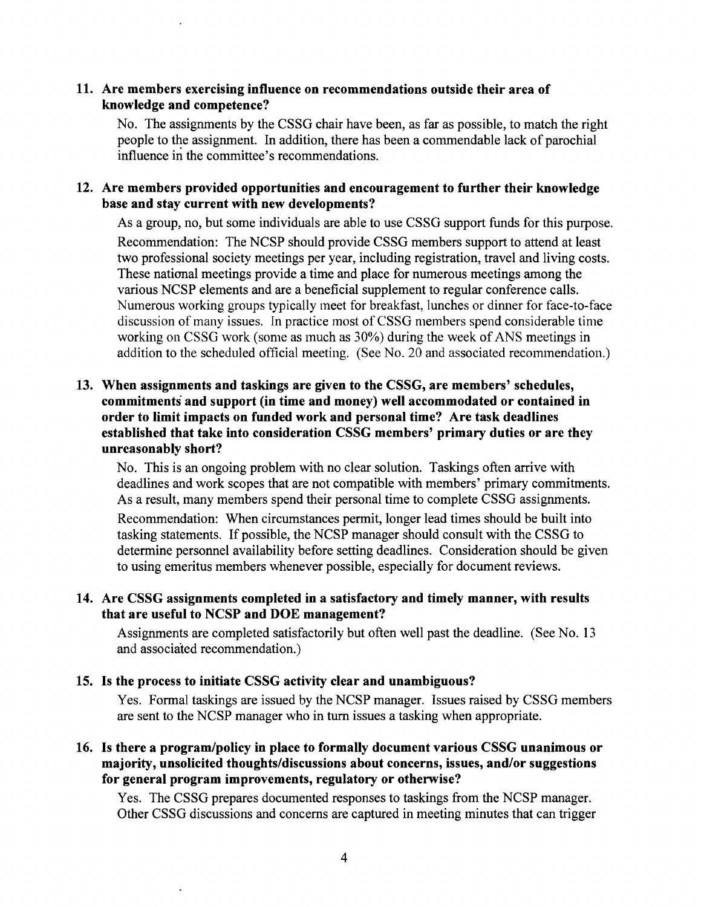#### 11. Are members exercising influence on recommendations outside their area of knowledge and competence?

No. The assignments by the CSSG chair have been, as far as possible, to match the right people to the assignment. In addition, there has been a commendable lack of parochial influence in the committee's recommendations.

# Are members provided opportunities and encouragement to further their knowledge base and stay current with new developments?

As a group, no, but some individuals are able to use CSSG support funds for this purpose. Recommendation: The NCSP should provide CSSG members support to attend at least two professional society meetings per year, including registration, travel and living costs. These national meetings provide a time and place for numerous meetings among the various NCSP elements and are a beneficial supplement to regular conference calls. Numerous working groups typically meet for breakfast, lunches or dinner for face-to-face discussion of many issues. Tn practice most of CSSG members spend considerable time working on CSSG work (some as much as  $30\%$ ) during the week of ANS meetings in addition to the scheduled official meeting. (See No. 20 and associated recommendation.)

# 13. When assignments and taskings are given to the CSSG, are members' schedules, commitments and support (in time and money) well accommodated or contained in order to limit impacts on funded work and personal time? Are task deadlines established that take into consideration CSSG members' primary duties or are they unreasonably short?

No. This is an ongoing problem with no clear solution. Taskings often arrive with deadlines and work scopes that are not compatible with members' primary commitments. As a result, many members spend their personal time to complete CSSG assignments.

Recommendation: When circumstances permit, longer lead times should be built into tasking statements. If possible, the NCSP manager should consult with the CSSG to determine personnel availability before setting deadlines. Consideration should be given to using emeritus members whenever possible, especially for document reviews.

# 14. Are CSSG assignments completed in a satisfactory and timely manner, with results that are useful to NCSP and DOE management?

Assignments are completed satisfactorily but often well past the deadline. (See No. 13 and associated recommendation.)

# 15. Is the process to initiate CSSG activity clear and unambiguous?

Yes. Formal taskings are issued by the NCSP manager. Issues raised by CSSG members are sent to the NCSP manager who in turn issues a tasking when appropriate.

## 16. Is there a program/policy in place to formally document various CSSG unanimous or majority, unsolicited thoughts/discussions about concerns, issues, and/or suggestions for general program improvements, regulatory or otherwise?

Yes. The CSSG prepares documented responses to taskings from the NCSP manager. Other CSSG discussions and concerns are captured in meeting minutes that can trigger